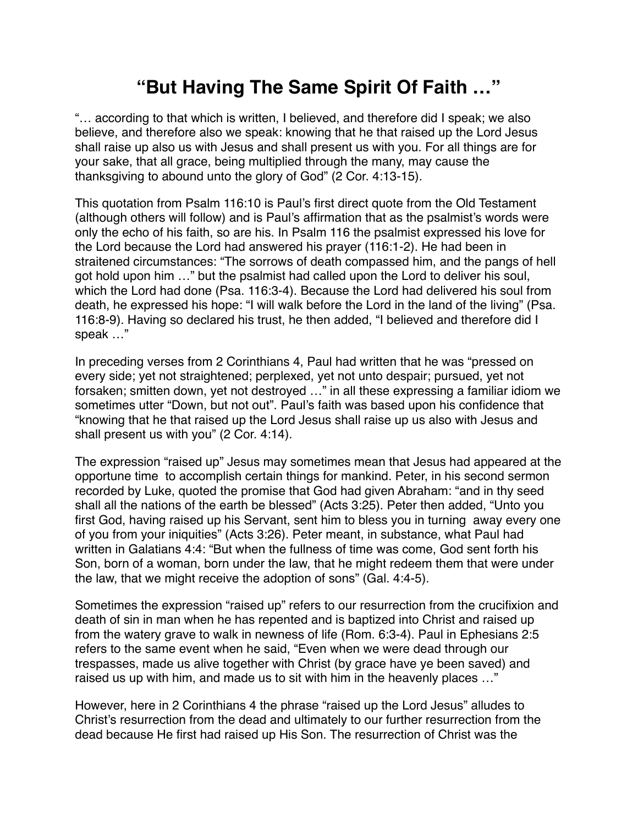## **"But Having The Same Spirit Of Faith …"**

"… according to that which is written, I believed, and therefore did I speak; we also believe, and therefore also we speak: knowing that he that raised up the Lord Jesus shall raise up also us with Jesus and shall present us with you. For all things are for your sake, that all grace, being multiplied through the many, may cause the thanksgiving to abound unto the glory of God" (2 Cor. 4:13-15).

This quotation from Psalm 116:10 is Paul's first direct quote from the Old Testament (although others will follow) and is Paul's affirmation that as the psalmist's words were only the echo of his faith, so are his. In Psalm 116 the psalmist expressed his love for the Lord because the Lord had answered his prayer (116:1-2). He had been in straitened circumstances: "The sorrows of death compassed him, and the pangs of hell got hold upon him …" but the psalmist had called upon the Lord to deliver his soul, which the Lord had done (Psa. 116:3-4). Because the Lord had delivered his soul from death, he expressed his hope: "I will walk before the Lord in the land of the living" (Psa. 116:8-9). Having so declared his trust, he then added, "I believed and therefore did I speak …"

In preceding verses from 2 Corinthians 4, Paul had written that he was "pressed on every side; yet not straightened; perplexed, yet not unto despair; pursued, yet not forsaken; smitten down, yet not destroyed …" in all these expressing a familiar idiom we sometimes utter "Down, but not out". Paul's faith was based upon his confidence that "knowing that he that raised up the Lord Jesus shall raise up us also with Jesus and shall present us with you" (2 Cor. 4:14).

The expression "raised up" Jesus may sometimes mean that Jesus had appeared at the opportune time to accomplish certain things for mankind. Peter, in his second sermon recorded by Luke, quoted the promise that God had given Abraham: "and in thy seed shall all the nations of the earth be blessed" (Acts 3:25). Peter then added, "Unto you first God, having raised up his Servant, sent him to bless you in turning away every one of you from your iniquities" (Acts 3:26). Peter meant, in substance, what Paul had written in Galatians 4:4: "But when the fullness of time was come, God sent forth his Son, born of a woman, born under the law, that he might redeem them that were under the law, that we might receive the adoption of sons" (Gal. 4:4-5).

Sometimes the expression "raised up" refers to our resurrection from the crucifixion and death of sin in man when he has repented and is baptized into Christ and raised up from the watery grave to walk in newness of life (Rom. 6:3-4). Paul in Ephesians 2:5 refers to the same event when he said, "Even when we were dead through our trespasses, made us alive together with Christ (by grace have ye been saved) and raised us up with him, and made us to sit with him in the heavenly places …"

However, here in 2 Corinthians 4 the phrase "raised up the Lord Jesus" alludes to Christ's resurrection from the dead and ultimately to our further resurrection from the dead because He first had raised up His Son. The resurrection of Christ was the